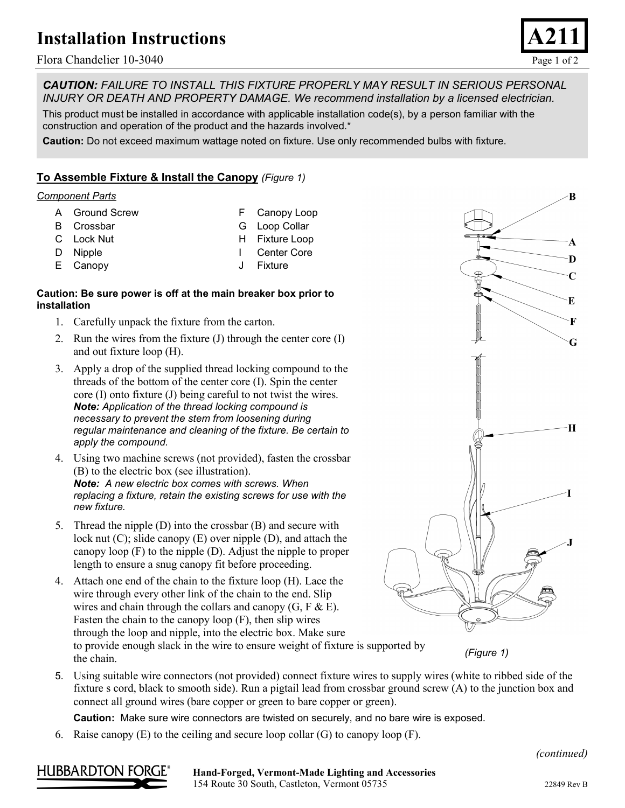# **Installation Instructions**

Flora Chandelier 10-3040 Page 1 of 2



B

A D  $\mathbf C$ 

E

F

G

 $\bf{H}$ 

*CAUTION: FAILURE TO INSTALL THIS FIXTURE PROPERLY MAY RESULT IN SERIOUS PERSONAL INJURY OR DEATH AND PROPERTY DAMAGE. We recommend installation by a licensed electrician.*

This product must be installed in accordance with applicable installation code(s), by a person familiar with the construction and operation of the product and the hazards involved.\*

**Caution:** Do not exceed maximum wattage noted on fixture. Use only recommended bulbs with fixture.

## **To Assemble Fixture & Install the Canopy** *(Figure 1)*

### *Component Parts*

- A Ground Screw
- B Crossbar
- C Lock Nut

E Canopy

D Nipple

G Loop Collar H Fixture Loop

F Canopy Loop

- I Center Core
	- J Fixture

### **Caution: Be sure power is off at the main breaker box prior to installation**

- 1. Carefully unpack the fixture from the carton.
- 2. Run the wires from the fixture (J) through the center core (I) and out fixture loop (H).
- 3. Apply a drop of the supplied thread locking compound to the threads of the bottom of the center core (I). Spin the center core (I) onto fixture (J) being careful to not twist the wires. *Note: Application of the thread locking compound is necessary to prevent the stem from loosening during regular maintenance and cleaning of the fixture. Be certain to apply the compound.*
- 4. Using two machine screws (not provided), fasten the crossbar (B) to the electric box (see illustration). *Note: A new electric box comes with screws. When replacing a fixture, retain the existing screws for use with the new fixture.*
- 5. Thread the nipple (D) into the crossbar (B) and secure with lock nut (C); slide canopy (E) over nipple (D), and attach the canopy loop (F) to the nipple (D). Adjust the nipple to proper length to ensure a snug canopy fit before proceeding.
- 4. Attach one end of the chain to the fixture loop (H). Lace the wire through every other link of the chain to the end. Slip wires and chain through the collars and canopy  $(G, F \& E)$ . Fasten the chain to the canopy loop (F), then slip wires through the loop and nipple, into the electric box. Make sure to provide enough slack in the wire to ensure weight of fixture is supported by the chain.

*(Figure 1)*

5. Using suitable wire connectors (not provided) connect fixture wires to supply wires (white to ribbed side of the fixture s cord, black to smooth side). Run a pigtail lead from crossbar ground screw (A) to the junction box and connect all ground wires (bare copper or green to bare copper or green).

**Caution:** Make sure wire connectors are twisted on securely, and no bare wire is exposed.

6. Raise canopy  $(E)$  to the ceiling and secure loop collar  $(G)$  to canopy loop  $(F)$ .

*(continued)*



#### **Hand-Forged, Vermont-Made Lighting and Accessories** 154 Route 30 South, Castleton, Vermont 05735 22849 Rev B